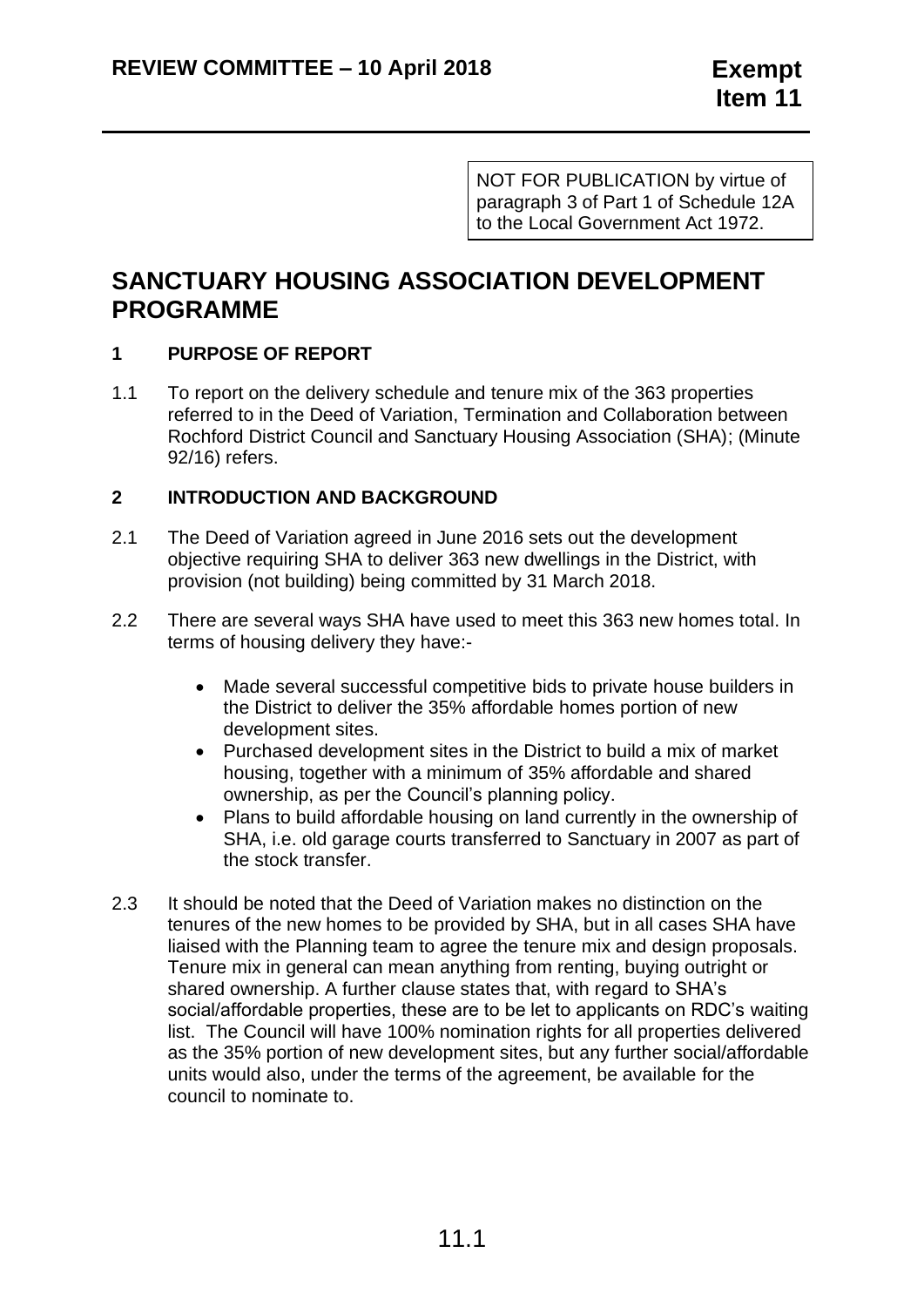NOT FOR PUBLICATION by virtue of paragraph 3 of Part 1 of Schedule 12A to the Local Government Act 1972.

# **SANCTUARY HOUSING ASSOCIATION DEVELOPMENT PROGRAMME**

## **1 PURPOSE OF REPORT**

1.1 To report on the delivery schedule and tenure mix of the 363 properties referred to in the Deed of Variation, Termination and Collaboration between Rochford District Council and Sanctuary Housing Association (SHA); (Minute 92/16) refers.

## **2 INTRODUCTION AND BACKGROUND**

- 2.1 The Deed of Variation agreed in June 2016 sets out the development objective requiring SHA to deliver 363 new dwellings in the District, with provision (not building) being committed by 31 March 2018.
- 2.2 There are several ways SHA have used to meet this 363 new homes total. In terms of housing delivery they have:-
	- Made several successful competitive bids to private house builders in the District to deliver the 35% affordable homes portion of new development sites.
	- Purchased development sites in the District to build a mix of market housing, together with a minimum of 35% affordable and shared ownership, as per the Council's planning policy.
	- Plans to build affordable housing on land currently in the ownership of SHA, i.e. old garage courts transferred to Sanctuary in 2007 as part of the stock transfer.
- 2.3 It should be noted that the Deed of Variation makes no distinction on the tenures of the new homes to be provided by SHA, but in all cases SHA have liaised with the Planning team to agree the tenure mix and design proposals. Tenure mix in general can mean anything from renting, buying outright or shared ownership. A further clause states that, with regard to SHA's social/affordable properties, these are to be let to applicants on RDC's waiting list. The Council will have 100% nomination rights for all properties delivered as the 35% portion of new development sites, but any further social/affordable units would also, under the terms of the agreement, be available for the council to nominate to.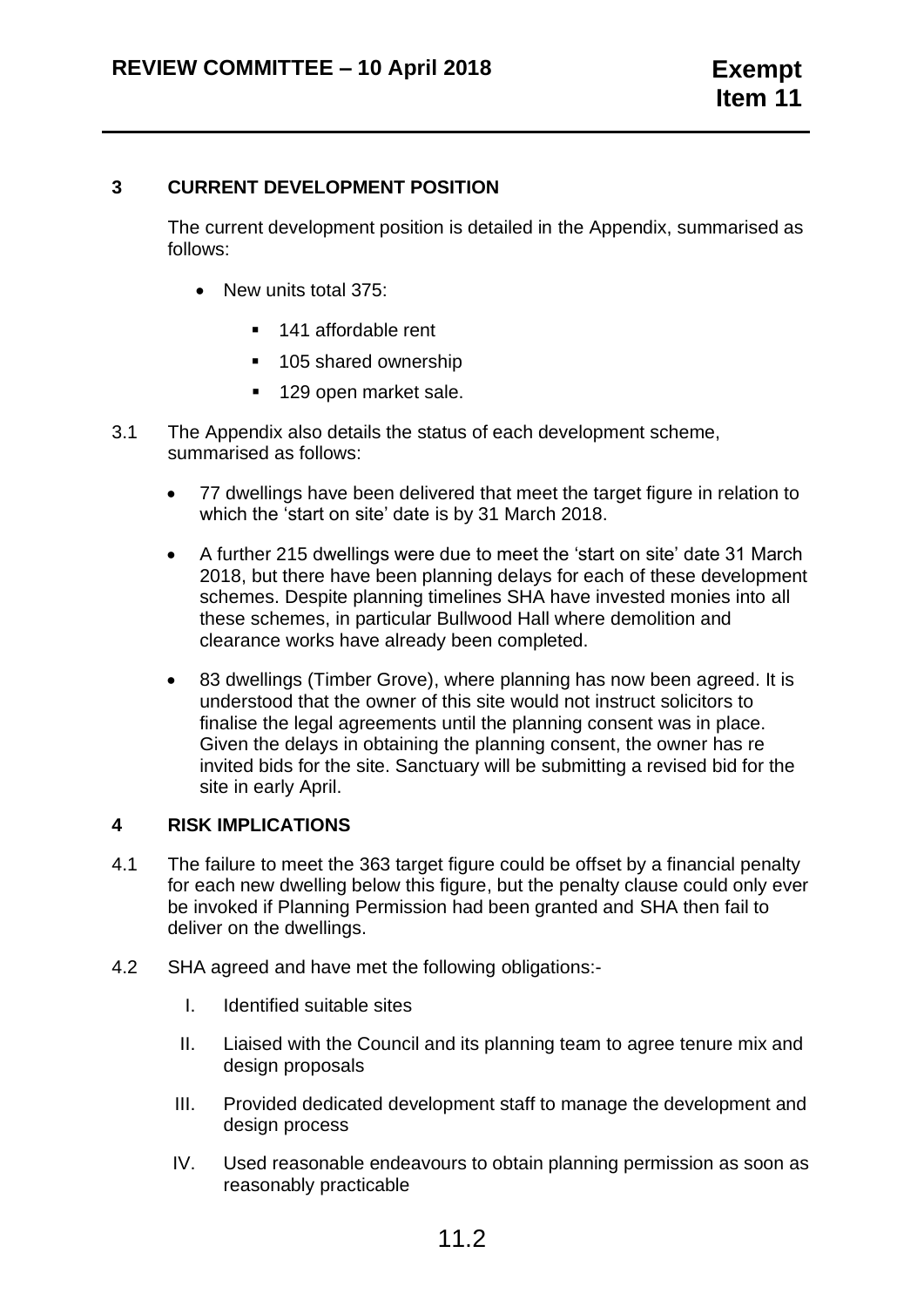#### **3 CURRENT DEVELOPMENT POSITION**

The current development position is detailed in the Appendix, summarised as follows:

- New units total 375:
	- 141 affordable rent
	- 105 shared ownership
	- 129 open market sale.
- 3.1 The Appendix also details the status of each development scheme, summarised as follows:
	- 77 dwellings have been delivered that meet the target figure in relation to which the 'start on site' date is by 31 March 2018.
	- A further 215 dwellings were due to meet the 'start on site' date 31 March 2018, but there have been planning delays for each of these development schemes. Despite planning timelines SHA have invested monies into all these schemes, in particular Bullwood Hall where demolition and clearance works have already been completed.
	- 83 dwellings (Timber Grove), where planning has now been agreed. It is understood that the owner of this site would not instruct solicitors to finalise the legal agreements until the planning consent was in place. Given the delays in obtaining the planning consent, the owner has re invited bids for the site. Sanctuary will be submitting a revised bid for the site in early April.

#### **4 RISK IMPLICATIONS**

- 4.1 The failure to meet the 363 target figure could be offset by a financial penalty for each new dwelling below this figure, but the penalty clause could only ever be invoked if Planning Permission had been granted and SHA then fail to deliver on the dwellings.
- 4.2 SHA agreed and have met the following obligations:-
	- I. Identified suitable sites
	- II. Liaised with the Council and its planning team to agree tenure mix and design proposals
	- III. Provided dedicated development staff to manage the development and design process
	- IV. Used reasonable endeavours to obtain planning permission as soon as reasonably practicable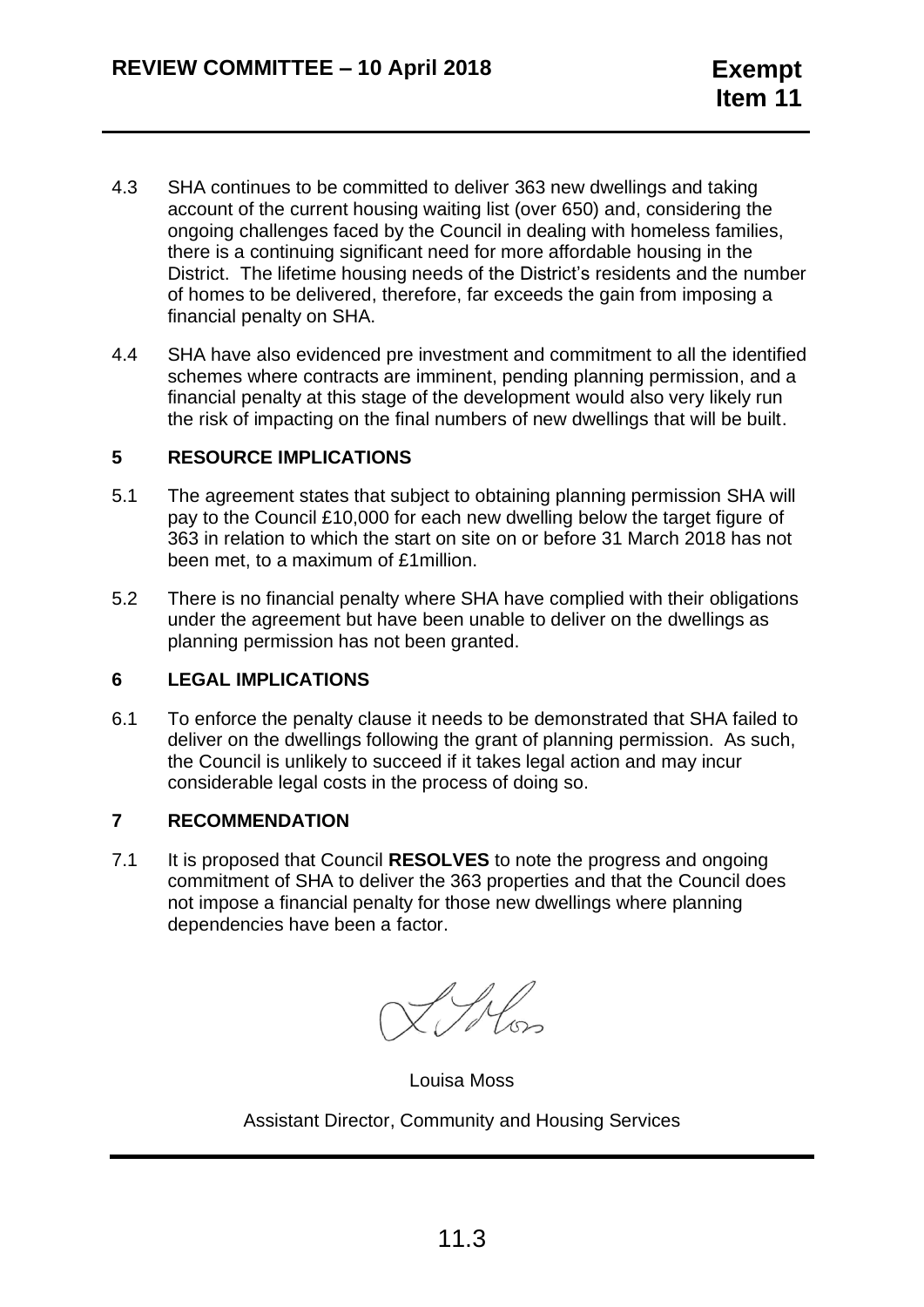- 4.3 SHA continues to be committed to deliver 363 new dwellings and taking account of the current housing waiting list (over 650) and, considering the ongoing challenges faced by the Council in dealing with homeless families, there is a continuing significant need for more affordable housing in the District. The lifetime housing needs of the District's residents and the number of homes to be delivered, therefore, far exceeds the gain from imposing a financial penalty on SHA.
- 4.4 SHA have also evidenced pre investment and commitment to all the identified schemes where contracts are imminent, pending planning permission, and a financial penalty at this stage of the development would also very likely run the risk of impacting on the final numbers of new dwellings that will be built.

#### **5 RESOURCE IMPLICATIONS**

- 5.1 The agreement states that subject to obtaining planning permission SHA will pay to the Council £10,000 for each new dwelling below the target figure of 363 in relation to which the start on site on or before 31 March 2018 has not been met, to a maximum of £1million.
- 5.2 There is no financial penalty where SHA have complied with their obligations under the agreement but have been unable to deliver on the dwellings as planning permission has not been granted.

## **6 LEGAL IMPLICATIONS**

6.1 To enforce the penalty clause it needs to be demonstrated that SHA failed to deliver on the dwellings following the grant of planning permission. As such, the Council is unlikely to succeed if it takes legal action and may incur considerable legal costs in the process of doing so.

#### **7 RECOMMENDATION**

7.1 It is proposed that Council **RESOLVES** to note the progress and ongoing commitment of SHA to deliver the 363 properties and that the Council does not impose a financial penalty for those new dwellings where planning dependencies have been a factor.

Louisa Moss

Assistant Director, Community and Housing Services